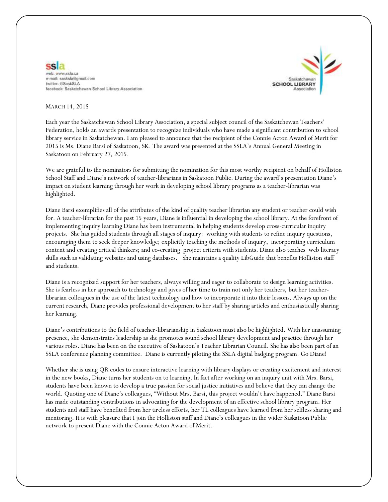



## MARCH 14, 2015

Each year the Saskatchewan School Library Association, a special subject council of the Saskatchewan Teachers' Federation, holds an awards presentation to recognize individuals who have made a significant contribution to school library service in Saskatchewan. I am pleased to announce that the recipient of the Connie Acton Award of Merit for 2015 is Ms. Diane Barsi of Saskatoon, SK. The award was presented at the SSLA's Annual General Meeting in Saskatoon on February 27, 2015.

We are grateful to the nominators for submitting the nomination for this most worthy recipient on behalf of Holliston School Staff and Diane's network of teacher-librarians in Saskatoon Public. During the award's presentation Diane's impact on student learning through her work in developing school library programs as a teacher-librarian was highlighted.

Diane Barsi exemplifies all of the attributes of the kind of quality teacher librarian any student or teacher could wish for. A teacher-librarian for the past 15 years, Diane is influential in developing the school library. At the forefront of implementing inquiry learning Diane has been instrumental in helping students develop cross-curricular inquiry projects. She has guided students through all stages of inquiry: working with students to refine inquiry questions, encouraging them to seek deeper knowledge; explicitly teaching the methods of inquiry, incorporating curriculum content and creating critical thinkers; and co-creating project criteria with students. Diane also teaches web literacy skills such as validating websites and using databases. She maintains a quality LibGuide that benefits Holliston staff and students.

Diane is a recognized support for her teachers, always willing and eager to collaborate to design learning activities. She is fearless in her approach to technology and gives of her time to train not only her teachers, but her teacherlibrarian colleagues in the use of the latest technology and how to incorporate it into their lessons. Always up on the current research, Diane provides professional development to her staff by sharing articles and enthusiastically sharing her learning.

Diane's contributions to the field of teacher-librarianship in Saskatoon must also be highlighted. With her unassuming presence, she demonstrates leadership as she promotes sound school library development and practice through her various roles. Diane has been on the executive of Saskatoon's Teacher Librarian Council. She has also been part of an SSLA conference planning committee. Diane is currently piloting the SSLA digital badging program. Go Diane!

Whether she is using QR codes to ensure interactive learning with library displays or creating excitement and interest in the new books, Diane turns her students on to learning. In fact after working on an inquiry unit with Mrs. Barsi, students have been known to develop a true passion for social justice initiatives and believe that they can change the world. Quoting one of Diane's colleagues, "Without Mrs. Barsi, this project wouldn't have happened." Diane Barsi has made outstanding contributions in advocating for the development of an effective school library program. Her students and staff have benefited from her tireless efforts, her TL colleagues have learned from her selfless sharing and mentoring. It is with pleasure that I join the Holliston staff and Diane's colleagues in the wider Saskatoon Public network to present Diane with the Connie Acton Award of Merit.